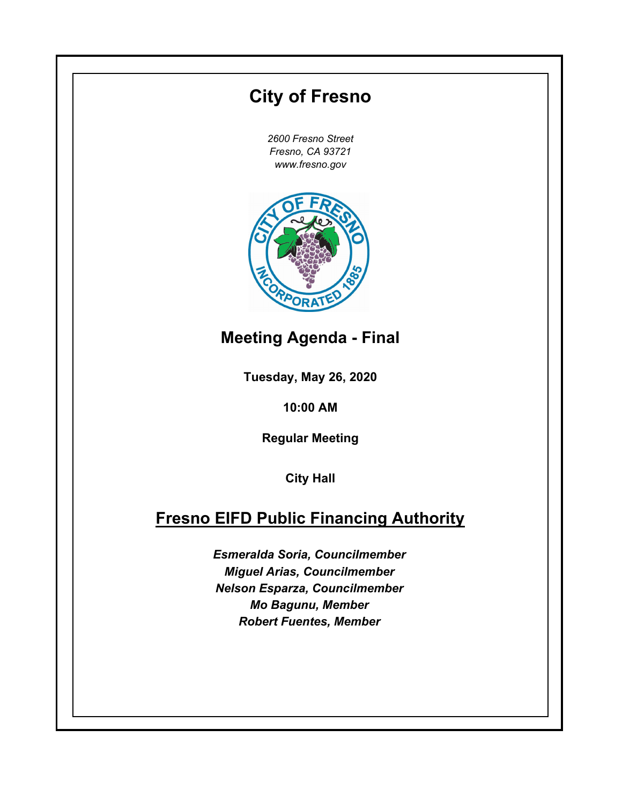## **Tuesday, May 26, 2020 10:00 AM City of Fresno** *2600 Fresno Street Fresno, CA 93721 www.fresno.gov* **City Hall Fresno EIFD Public Financing Authority** *Esmeralda Soria, Councilmember Miguel Arias, Councilmember Nelson Esparza, Councilmember Mo Bagunu, Member Robert Fuentes, Member* **Meeting Agenda - Final Regular Meeting**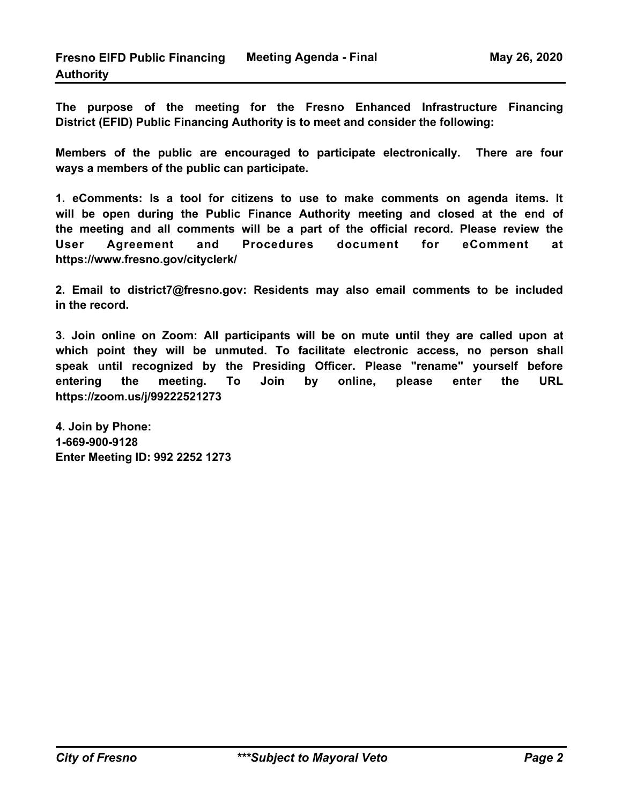**The purpose of the meeting for the Fresno Enhanced Infrastructure Financing District (EFID) Public Financing Authority is to meet and consider the following:** 

**Members of the public are encouraged to participate electronically. There are four ways a members of the public can participate.**

**1. eComments: Is a tool for citizens to use to make comments on agenda items. It will be open during the Public Finance Authority meeting and closed at the end of the meeting and all comments will be a part of the official record. Please review the User Agreement and Procedures document for eComment at https://www.fresno.gov/cityclerk/** 

**2. Email to district7@fresno.gov: Residents may also email comments to be included in the record.** 

**3. Join online on Zoom: All participants will be on mute until they are called upon at which point they will be unmuted. To facilitate electronic access, no person shall speak until recognized by the Presiding Officer. Please "rename" yourself before entering the meeting. To Join by online, please enter the URL https://zoom.us/j/99222521273**

**4. Join by Phone: 1-669-900-9128 Enter Meeting ID: 992 2252 1273**